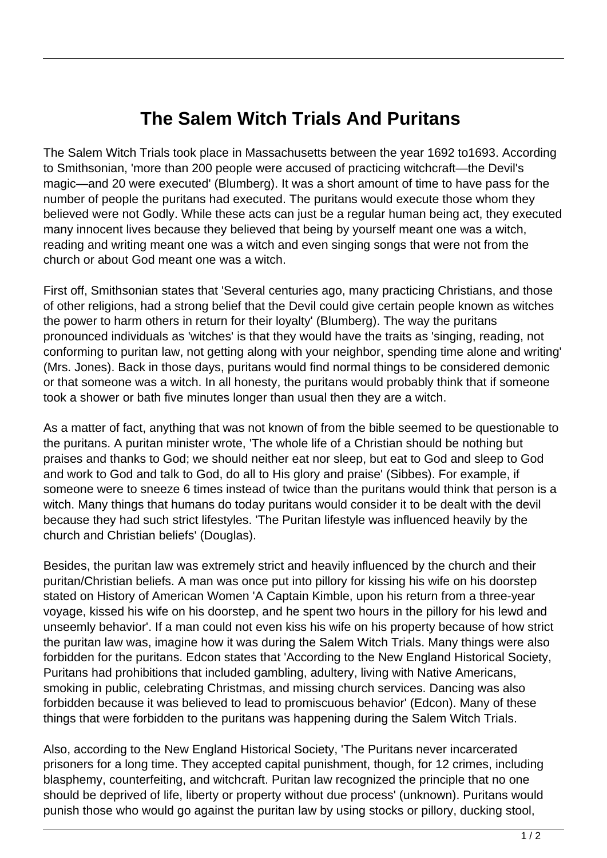## **The Salem Witch Trials And Puritans**

The Salem Witch Trials took place in Massachusetts between the year 1692 to1693. According to Smithsonian, 'more than 200 people were accused of practicing witchcraft—the Devil's magic—and 20 were executed' (Blumberg). It was a short amount of time to have pass for the number of people the puritans had executed. The puritans would execute those whom they believed were not Godly. While these acts can just be a regular human being act, they executed many innocent lives because they believed that being by yourself meant one was a witch, reading and writing meant one was a witch and even singing songs that were not from the church or about God meant one was a witch.

First off, Smithsonian states that 'Several centuries ago, many practicing Christians, and those of other religions, had a strong belief that the Devil could give certain people known as witches the power to harm others in return for their loyalty' (Blumberg). The way the puritans pronounced individuals as 'witches' is that they would have the traits as 'singing, reading, not conforming to puritan law, not getting along with your neighbor, spending time alone and writing' (Mrs. Jones). Back in those days, puritans would find normal things to be considered demonic or that someone was a witch. In all honesty, the puritans would probably think that if someone took a shower or bath five minutes longer than usual then they are a witch.

As a matter of fact, anything that was not known of from the bible seemed to be questionable to the puritans. A puritan minister wrote, 'The whole life of a Christian should be nothing but praises and thanks to God; we should neither eat nor sleep, but eat to God and sleep to God and work to God and talk to God, do all to His glory and praise' (Sibbes). For example, if someone were to sneeze 6 times instead of twice than the puritans would think that person is a witch. Many things that humans do today puritans would consider it to be dealt with the devil because they had such strict lifestyles. 'The Puritan lifestyle was influenced heavily by the church and Christian beliefs' (Douglas).

Besides, the puritan law was extremely strict and heavily influenced by the church and their puritan/Christian beliefs. A man was once put into pillory for kissing his wife on his doorstep stated on History of American Women 'A Captain Kimble, upon his return from a three-year voyage, kissed his wife on his doorstep, and he spent two hours in the pillory for his lewd and unseemly behavior'. If a man could not even kiss his wife on his property because of how strict the puritan law was, imagine how it was during the Salem Witch Trials. Many things were also forbidden for the puritans. Edcon states that 'According to the New England Historical Society, Puritans had prohibitions that included gambling, adultery, living with Native Americans, smoking in public, celebrating Christmas, and missing church services. Dancing was also forbidden because it was believed to lead to promiscuous behavior' (Edcon). Many of these things that were forbidden to the puritans was happening during the Salem Witch Trials.

Also, according to the New England Historical Society, 'The Puritans never incarcerated prisoners for a long time. They accepted capital punishment, though, for 12 crimes, including blasphemy, counterfeiting, and witchcraft. Puritan law recognized the principle that no one should be deprived of life, liberty or property without due process' (unknown). Puritans would punish those who would go against the puritan law by using stocks or pillory, ducking stool,